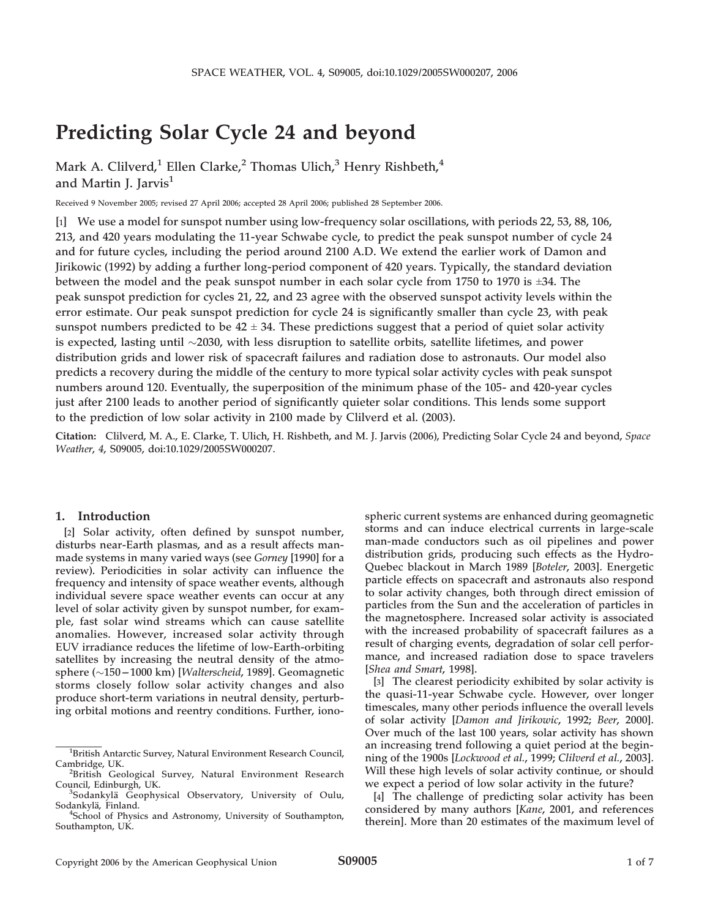# Predicting Solar Cycle 24 and beyond

Mark A. Clilverd,<sup>1</sup> Ellen Clarke,<sup>2</sup> Thomas Ulich,<sup>3</sup> Henry Rishbeth,<sup>4</sup> and Martin J. Jarvis<sup>1</sup>

Received 9 November 2005; revised 27 April 2006; accepted 28 April 2006; published 28 September 2006.

[1] We use a model for sunspot number using low-frequency solar oscillations, with periods 22, 53, 88, 106, 213, and 420 years modulating the 11-year Schwabe cycle, to predict the peak sunspot number of cycle 24 and for future cycles, including the period around 2100 A.D. We extend the earlier work of Damon and Jirikowic (1992) by adding a further long-period component of 420 years. Typically, the standard deviation between the model and the peak sunspot number in each solar cycle from 1750 to 1970 is  $\pm 34$ . The peak sunspot prediction for cycles 21, 22, and 23 agree with the observed sunspot activity levels within the error estimate. Our peak sunspot prediction for cycle 24 is significantly smaller than cycle 23, with peak sunspot numbers predicted to be  $42 \pm 34$ . These predictions suggest that a period of quiet solar activity is expected, lasting until  $\sim$ 2030, with less disruption to satellite orbits, satellite lifetimes, and power distribution grids and lower risk of spacecraft failures and radiation dose to astronauts. Our model also predicts a recovery during the middle of the century to more typical solar activity cycles with peak sunspot numbers around 120. Eventually, the superposition of the minimum phase of the 105- and 420-year cycles just after 2100 leads to another period of significantly quieter solar conditions. This lends some support to the prediction of low solar activity in 2100 made by Clilverd et al. (2003).

Citation: Clilverd, M. A., E. Clarke, T. Ulich, H. Rishbeth, and M. J. Jarvis (2006), Predicting Solar Cycle 24 and beyond, Space Weather, 4, S09005, doi:10.1029/2005SW000207.

## 1. Introduction

[2] Solar activity, often defined by sunspot number, disturbs near-Earth plasmas, and as a result affects manmade systems in many varied ways (see Gorney [1990] for a review). Periodicities in solar activity can influence the frequency and intensity of space weather events, although individual severe space weather events can occur at any level of solar activity given by sunspot number, for example, fast solar wind streams which can cause satellite anomalies. However, increased solar activity through EUV irradiance reduces the lifetime of low-Earth-orbiting satellites by increasing the neutral density of the atmosphere  $(\sim 150 - 1000 \text{ km})$  [*Walterscheid*, 1989]. Geomagnetic storms closely follow solar activity changes and also produce short-term variations in neutral density, perturbing orbital motions and reentry conditions. Further, ionospheric current systems are enhanced during geomagnetic storms and can induce electrical currents in large-scale man-made conductors such as oil pipelines and power distribution grids, producing such effects as the Hydro-Quebec blackout in March 1989 [Boteler, 2003]. Energetic particle effects on spacecraft and astronauts also respond to solar activity changes, both through direct emission of particles from the Sun and the acceleration of particles in the magnetosphere. Increased solar activity is associated with the increased probability of spacecraft failures as a result of charging events, degradation of solar cell performance, and increased radiation dose to space travelers [Shea and Smart, 1998].

[3] The clearest periodicity exhibited by solar activity is the quasi-11-year Schwabe cycle. However, over longer timescales, many other periods influence the overall levels of solar activity [Damon and Jirikowic, 1992; Beer, 2000]. Over much of the last 100 years, solar activity has shown an increasing trend following a quiet period at the beginning of the 1900s [Lockwood et al., 1999; Clilverd et al., 2003]. Will these high levels of solar activity continue, or should we expect a period of low solar activity in the future?

[4] The challenge of predicting solar activity has been considered by many authors [Kane, 2001, and references therein]. More than 20 estimates of the maximum level of

<sup>&</sup>lt;sup>1</sup>British Antarctic Survey, Natural Environment Research Council, Cambridge, UK. <sup>2</sup>

<sup>&</sup>lt;sup>2</sup>British Geological Survey, Natural Environment Research Council, Edinburgh, UK. <sup>3</sup>

Sodankyla¨ Geophysical Observatory, University of Oulu, Sodankylä, Finland.

<sup>&</sup>lt;sup>4</sup>School of Physics and Astronomy, University of Southampton, Southampton, UK.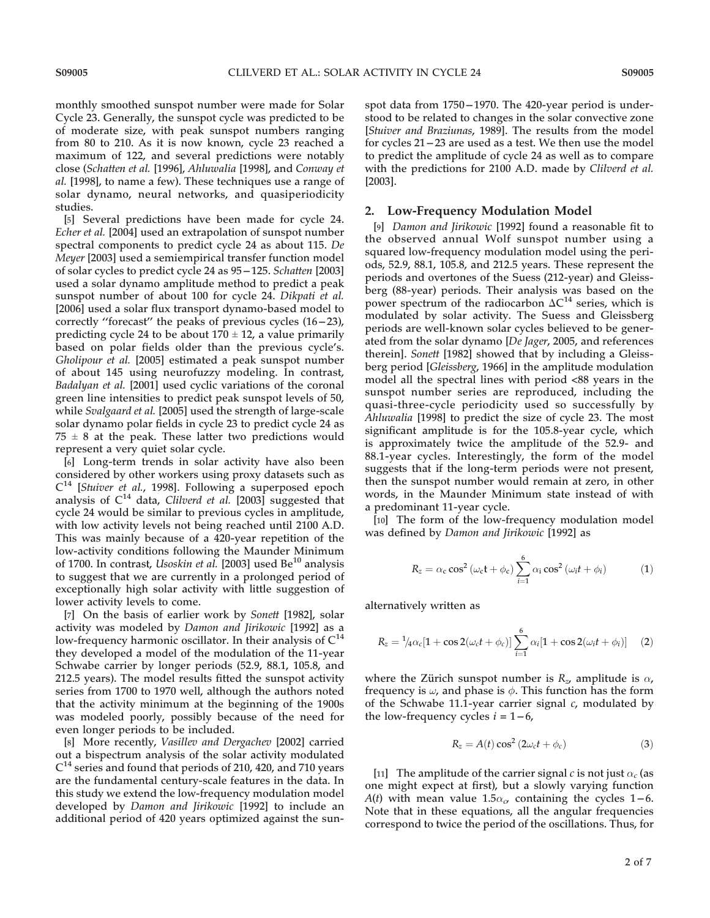monthly smoothed sunspot number were made for Solar Cycle 23. Generally, the sunspot cycle was predicted to be of moderate size, with peak sunspot numbers ranging from 80 to 210. As it is now known, cycle 23 reached a maximum of 122, and several predictions were notably close (Schatten et al. [1996], Ahluwalia [1998], and Conway et al. [1998], to name a few). These techniques use a range of solar dynamo, neural networks, and quasiperiodicity studies.

[5] Several predictions have been made for cycle 24. Echer et al. [2004] used an extrapolation of sunspot number spectral components to predict cycle 24 as about 115. De Meyer [2003] used a semiempirical transfer function model of solar cycles to predict cycle 24 as  $95-125$ . Schatten [2003] used a solar dynamo amplitude method to predict a peak sunspot number of about 100 for cycle 24. Dikpati et al. [2006] used a solar flux transport dynamo-based model to correctly "forecast" the peaks of previous cycles  $(16-23)$ , predicting cycle 24 to be about  $170 \pm 12$ , a value primarily based on polar fields older than the previous cycle's. Gholipour et al. [2005] estimated a peak sunspot number of about 145 using neurofuzzy modeling. In contrast, Badalyan et al. [2001] used cyclic variations of the coronal green line intensities to predict peak sunspot levels of 50, while Svalgaard et al. [2005] used the strength of large-scale solar dynamo polar fields in cycle 23 to predict cycle 24 as  $75 \pm 8$  at the peak. These latter two predictions would represent a very quiet solar cycle.

[6] Long-term trends in solar activity have also been considered by other workers using proxy datasets such as  $C^{14}$  [Stuiver et al., 1998]. Following a superposed epoch analysis of  $C^{14}$  data, Clilverd et al. [2003] suggested that cycle 24 would be similar to previous cycles in amplitude, with low activity levels not being reached until 2100 A.D. This was mainly because of a 420-year repetition of the low-activity conditions following the Maunder Minimum of 1700. In contrast, Usoskin et al.  $[2003]$  used Be<sup>10</sup> analysis to suggest that we are currently in a prolonged period of exceptionally high solar activity with little suggestion of lower activity levels to come.

[7] On the basis of earlier work by Sonett [1982], solar activity was modeled by Damon and Jirikowic [1992] as a low-frequency harmonic oscillator. In their analysis of  $C^{14}$ they developed a model of the modulation of the 11-year Schwabe carrier by longer periods (52.9, 88.1, 105.8, and 212.5 years). The model results fitted the sunspot activity series from 1700 to 1970 well, although the authors noted that the activity minimum at the beginning of the 1900s was modeled poorly, possibly because of the need for even longer periods to be included.

[8] More recently, Vasillev and Dergachev [2002] carried out a bispectrum analysis of the solar activity modulated  $C^{14}$  series and found that periods of 210, 420, and 710 years are the fundamental century-scale features in the data. In this study we extend the low-frequency modulation model developed by Damon and Jirikowic [1992] to include an additional period of 420 years optimized against the sunspot data from 1750-1970. The 420-year period is understood to be related to changes in the solar convective zone [Stuiver and Braziunas, 1989]. The results from the model for cycles 21 – 23 are used as a test. We then use the model to predict the amplitude of cycle 24 as well as to compare with the predictions for 2100 A.D. made by Clilverd et al. [2003].

## 2. Low-Frequency Modulation Model

[9] Damon and Jirikowic [1992] found a reasonable fit to the observed annual Wolf sunspot number using a squared low-frequency modulation model using the periods, 52.9, 88.1, 105.8, and 212.5 years. These represent the periods and overtones of the Suess (212-year) and Gleissberg (88-year) periods. Their analysis was based on the power spectrum of the radiocarbon  $\Delta C^{14}$  series, which is modulated by solar activity. The Suess and Gleissberg periods are well-known solar cycles believed to be generated from the solar dynamo [De Jager, 2005, and references therein]. Sonett [1982] showed that by including a Gleissberg period [Gleissberg, 1966] in the amplitude modulation model all the spectral lines with period <88 years in the sunspot number series are reproduced, including the quasi-three-cycle periodicity used so successfully by Ahluwalia [1998] to predict the size of cycle 23. The most significant amplitude is for the 105.8-year cycle, which is approximately twice the amplitude of the 52.9- and 88.1-year cycles. Interestingly, the form of the model suggests that if the long-term periods were not present, then the sunspot number would remain at zero, in other words, in the Maunder Minimum state instead of with a predominant 11-year cycle.

[10] The form of the low-frequency modulation model was defined by Damon and Jirikowic [1992] as

$$
R_z = \alpha_c \cos^2(\omega_c t + \phi_c) \sum_{i=1}^{6} \alpha_i \cos^2(\omega_i t + \phi_i)
$$
 (1)

alternatively written as

$$
R_z = \frac{1}{4}\alpha_c[1 + \cos 2(\omega_c t + \phi_c)] \sum_{i=1}^6 \alpha_i[1 + \cos 2(\omega_i t + \phi_i)] \quad (2)
$$

where the Zürich sunspot number is  $R_z$ , amplitude is  $\alpha$ , frequency is  $\omega$ , and phase is  $\phi$ . This function has the form of the Schwabe 11.1-year carrier signal  $c$ , modulated by the low-frequency cycles  $i = 1 - 6$ ,

$$
R_z = A(t) \cos^2(2\omega_c t + \phi_c)
$$
 (3)

[11] The amplitude of the carrier signal c is not just  $\alpha_c$  (as one might expect at first), but a slowly varying function A(t) with mean value 1.5 $\alpha_c$ , containing the cycles 1–6. Note that in these equations, all the angular frequencies correspond to twice the period of the oscillations. Thus, for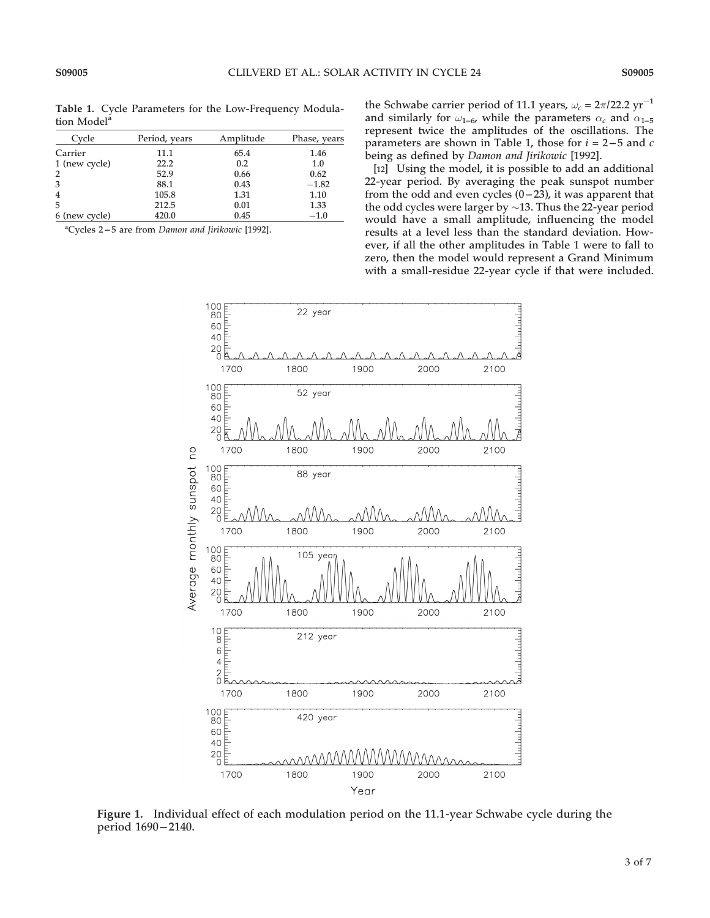Table 1. Cycle Parameters for the Low-Frequency Modulation Model<sup>a</sup>

| Cycle          | Period, years | Amplitude | Phase, years |
|----------------|---------------|-----------|--------------|
| Carrier        | 11.1          | 65.4      | 1.46         |
| 1 (new cycle)  | 22.2          | 0.2       | 1.0          |
| $\overline{2}$ | 52.9          | 0.66      | 0.62         |
| 3              | 88.1          | 0.43      | $-1.82$      |
| $\overline{4}$ | 105.8         | 1.31      | 1.10         |
| 5              | 212.5         | 0.01      | 1.33         |
| 6 (new cycle)  | 420.0         | 0.45      | $-1.0$       |

<sup>a</sup>Cycles 2-5 are from Damon and Jirikowic [1992].

the Schwabe carrier period of 11.1 years,  $\omega_c = 2\pi/22.2$  yr<sup>-1</sup> and similarly for  $\omega_{1-6}$ , while the parameters  $\alpha_c$  and  $\alpha_{1-5}$ represent twice the amplitudes of the oscillations. The parameters are shown in Table 1, those for  $i = 2 - 5$  and  $c$ being as defined by Damon and Jirikowic [1992].

[12] Using the model, it is possible to add an additional 22-year period. By averaging the peak sunspot number from the odd and even cycles  $(0-23)$ , it was apparent that the odd cycles were larger by  $\sim$ 13. Thus the 22-year period would have a small amplitude, influencing the model results at a level less than the standard deviation. However, if all the other amplitudes in Table 1 were to fall to zero, then the model would represent a Grand Minimum with a small-residue 22-year cycle if that were included.



Figure 1. Individual effect of each modulation period on the 11.1-year Schwabe cycle during the period  $1690 - 2140$ .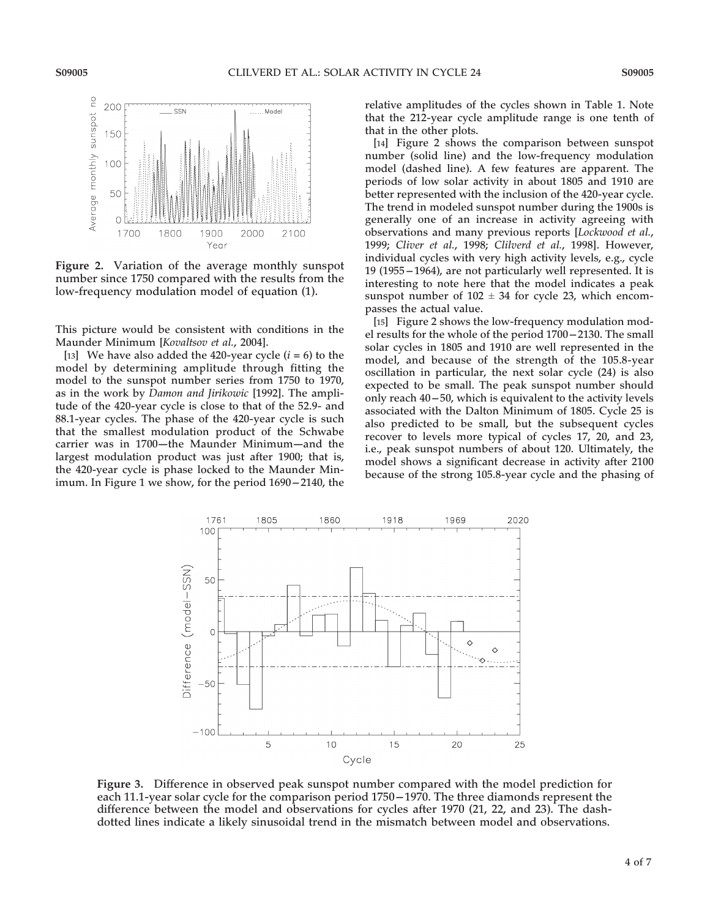

Figure 2. Variation of the average monthly sunspot number since 1750 compared with the results from the low-frequency modulation model of equation (1).

This picture would be consistent with conditions in the Maunder Minimum [Kovaltsov et al., 2004].

[13] We have also added the 420-year cycle  $(i = 6)$  to the model by determining amplitude through fitting the model to the sunspot number series from 1750 to 1970, as in the work by Damon and Jirikowic [1992]. The amplitude of the 420-year cycle is close to that of the 52.9- and 88.1-year cycles. The phase of the 420-year cycle is such that the smallest modulation product of the Schwabe carrier was in 1700-the Maunder Minimum-and the largest modulation product was just after 1900; that is, the 420-year cycle is phase locked to the Maunder Minimum. In Figure 1 we show, for the period  $1690 - 2140$ , the relative amplitudes of the cycles shown in Table 1. Note that the 212-year cycle amplitude range is one tenth of that in the other plots.

[14] Figure 2 shows the comparison between sunspot number (solid line) and the low-frequency modulation model (dashed line). A few features are apparent. The periods of low solar activity in about 1805 and 1910 are better represented with the inclusion of the 420-year cycle. The trend in modeled sunspot number during the 1900s is generally one of an increase in activity agreeing with observations and many previous reports [Lockwood et al., 1999; Cliver et al., 1998; Clilverd et al., 1998]. However, individual cycles with very high activity levels, e.g., cycle  $19$  (1955  $-1964$ ), are not particularly well represented. It is interesting to note here that the model indicates a peak sunspot number of  $102 \pm 34$  for cycle 23, which encompasses the actual value.

[15] Figure 2 shows the low-frequency modulation model results for the whole of the period 1700 - 2130. The small solar cycles in 1805 and 1910 are well represented in the model, and because of the strength of the 105.8-year oscillation in particular, the next solar cycle (24) is also expected to be small. The peak sunspot number should only reach  $40 - 50$ , which is equivalent to the activity levels associated with the Dalton Minimum of 1805. Cycle 25 is also predicted to be small, but the subsequent cycles recover to levels more typical of cycles 17, 20, and 23, i.e., peak sunspot numbers of about 120. Ultimately, the model shows a significant decrease in activity after 2100 because of the strong 105.8-year cycle and the phasing of



Figure 3. Difference in observed peak sunspot number compared with the model prediction for each 11.1-year solar cycle for the comparison period 1750 -- 1970. The three diamonds represent the difference between the model and observations for cycles after 1970 (21, 22, and 23). The dashdotted lines indicate a likely sinusoidal trend in the mismatch between model and observations.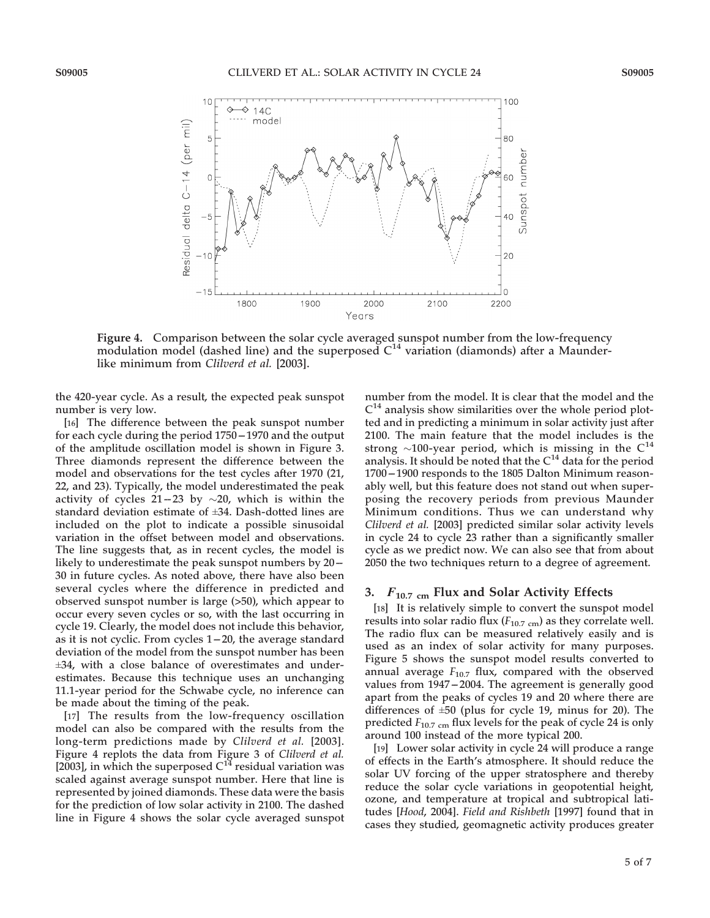

Figure 4. Comparison between the solar cycle averaged sunspot number from the low-frequency modulation model (dashed line) and the superposed  $C<sup>14</sup>$  variation (diamonds) after a Maunderlike minimum from Clilverd et al. [2003].

the 420-year cycle. As a result, the expected peak sunspot number is very low.

[16] The difference between the peak sunspot number for each cycle during the period 1750 - 1970 and the output of the amplitude oscillation model is shown in Figure 3. Three diamonds represent the difference between the model and observations for the test cycles after 1970 (21, 22, and 23). Typically, the model underestimated the peak activity of cycles  $21 - 23$  by  $\sim 20$ , which is within the standard deviation estimate of ±34. Dash-dotted lines are included on the plot to indicate a possible sinusoidal variation in the offset between model and observations. The line suggests that, as in recent cycles, the model is likely to underestimate the peak sunspot numbers by 20– 30 in future cycles. As noted above, there have also been several cycles where the difference in predicted and observed sunspot number is large (>50), which appear to occur every seven cycles or so, with the last occurring in cycle 19. Clearly, the model does not include this behavior, as it is not cyclic. From cycles  $1-20$ , the average standard deviation of the model from the sunspot number has been ±34, with a close balance of overestimates and underestimates. Because this technique uses an unchanging 11.1-year period for the Schwabe cycle, no inference can be made about the timing of the peak.

[17] The results from the low-frequency oscillation model can also be compared with the results from the long-term predictions made by Clilverd et al. [2003]. Figure 4 replots the data from Figure 3 of Clilverd et al. [2003], in which the superposed  $C^{14}$  residual variation was scaled against average sunspot number. Here that line is represented by joined diamonds. These data were the basis for the prediction of low solar activity in 2100. The dashed line in Figure 4 shows the solar cycle averaged sunspot number from the model. It is clear that the model and the  $C<sup>14</sup>$  analysis show similarities over the whole period plotted and in predicting a minimum in solar activity just after 2100. The main feature that the model includes is the strong  $\sim$ 100-year period, which is missing in the C<sup>14</sup> analysis. It should be noted that the  $C<sup>14</sup>$  data for the period 1700 - 1900 responds to the 1805 Dalton Minimum reasonably well, but this feature does not stand out when superposing the recovery periods from previous Maunder Minimum conditions. Thus we can understand why Clilverd et al. [2003] predicted similar solar activity levels in cycle 24 to cycle 23 rather than a significantly smaller cycle as we predict now. We can also see that from about 2050 the two techniques return to a degree of agreement.

## 3.  $F_{10.7 \text{ cm}}$  Flux and Solar Activity Effects

[18] It is relatively simple to convert the sunspot model results into solar radio flux ( $F_{10.7 \text{ cm}}$ ) as they correlate well. The radio flux can be measured relatively easily and is used as an index of solar activity for many purposes. Figure 5 shows the sunspot model results converted to annual average  $F_{10.7}$  flux, compared with the observed values from 1947–2004. The agreement is generally good apart from the peaks of cycles 19 and 20 where there are differences of  $\pm 50$  (plus for cycle 19, minus for 20). The predicted  $F_{10.7 \text{ cm}}$  flux levels for the peak of cycle 24 is only around 100 instead of the more typical 200.

[19] Lower solar activity in cycle 24 will produce a range of effects in the Earth's atmosphere. It should reduce the solar UV forcing of the upper stratosphere and thereby reduce the solar cycle variations in geopotential height, ozone, and temperature at tropical and subtropical latitudes [Hood, 2004]. Field and Rishbeth [1997] found that in cases they studied, geomagnetic activity produces greater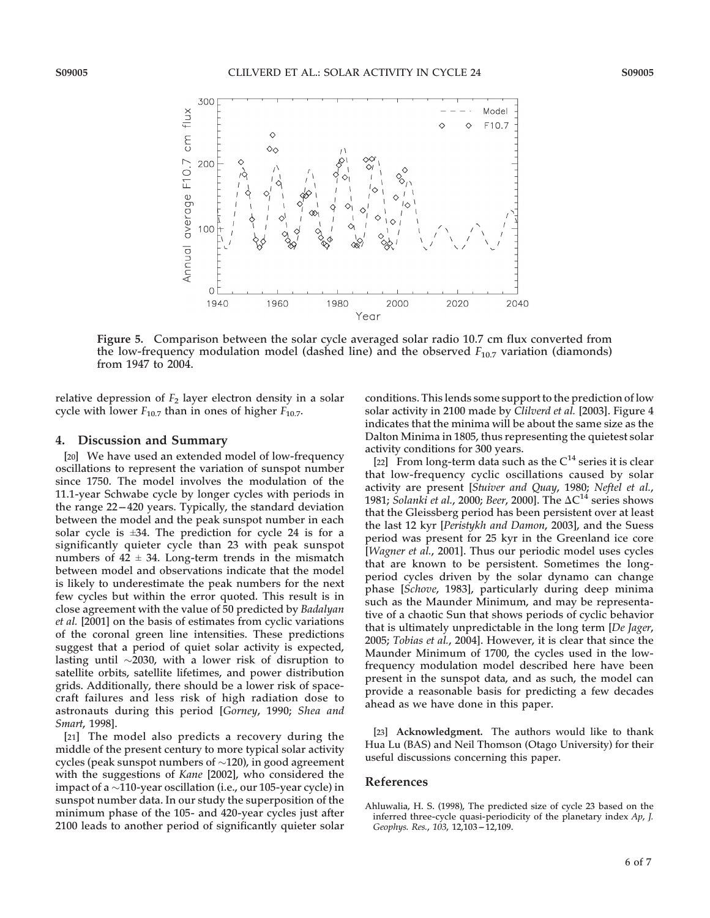

Figure 5. Comparison between the solar cycle averaged solar radio 10.7 cm flux converted from the low-frequency modulation model (dashed line) and the observed  $F_{10.7}$  variation (diamonds) from 1947 to 2004.

relative depression of  $F_2$  layer electron density in a solar cycle with lower  $F_{10.7}$  than in ones of higher  $F_{10.7}$ .

## 4. Discussion and Summary

[20] We have used an extended model of low-frequency oscillations to represent the variation of sunspot number since 1750. The model involves the modulation of the 11.1-year Schwabe cycle by longer cycles with periods in the range  $22 - 420$  years. Typically, the standard deviation between the model and the peak sunspot number in each solar cycle is  $\pm 34$ . The prediction for cycle 24 is for a significantly quieter cycle than 23 with peak sunspot numbers of  $42 \pm 34$ . Long-term trends in the mismatch between model and observations indicate that the model is likely to underestimate the peak numbers for the next few cycles but within the error quoted. This result is in close agreement with the value of 50 predicted by Badalyan et al. [2001] on the basis of estimates from cyclic variations of the coronal green line intensities. These predictions suggest that a period of quiet solar activity is expected, lasting until  $\sim$ 2030, with a lower risk of disruption to satellite orbits, satellite lifetimes, and power distribution grids. Additionally, there should be a lower risk of spacecraft failures and less risk of high radiation dose to astronauts during this period [Gorney, 1990; Shea and Smart, 1998].

[21] The model also predicts a recovery during the middle of the present century to more typical solar activity cycles (peak sunspot numbers of  $\sim$ 120), in good agreement with the suggestions of Kane [2002], who considered the impact of a  $\sim$ 110-year oscillation (i.e., our 105-year cycle) in sunspot number data. In our study the superposition of the minimum phase of the 105- and 420-year cycles just after 2100 leads to another period of significantly quieter solar conditions. This lends some support to the prediction of low solar activity in 2100 made by Clilverd et al. [2003]. Figure 4 indicates that the minima will be about the same size as the Dalton Minima in 1805, thus representing the quietest solar activity conditions for 300 years.

[22] From long-term data such as the  $C^{14}$  series it is clear that low-frequency cyclic oscillations caused by solar activity are present [Stuiver and Quay, 1980; Neftel et al., 1981; Solanki et al., 2000; Beer, 2000]. The  $\Delta C^{14}$  series shows that the Gleissberg period has been persistent over at least the last 12 kyr [Peristykh and Damon, 2003], and the Suess period was present for 25 kyr in the Greenland ice core [Wagner et al., 2001]. Thus our periodic model uses cycles that are known to be persistent. Sometimes the longperiod cycles driven by the solar dynamo can change phase [Schove, 1983], particularly during deep minima such as the Maunder Minimum, and may be representative of a chaotic Sun that shows periods of cyclic behavior that is ultimately unpredictable in the long term [De Jager, 2005; Tobias et al., 2004]. However, it is clear that since the Maunder Minimum of 1700, the cycles used in the lowfrequency modulation model described here have been present in the sunspot data, and as such, the model can provide a reasonable basis for predicting a few decades ahead as we have done in this paper.

[23] Acknowledgment. The authors would like to thank Hua Lu (BAS) and Neil Thomson (Otago University) for their useful discussions concerning this paper.

## References

Ahluwalia, H. S. (1998), The predicted size of cycle 23 based on the inferred three-cycle quasi-periodicity of the planetary index Ap, J. Geophys. Res., 103, 12,103-12,109.